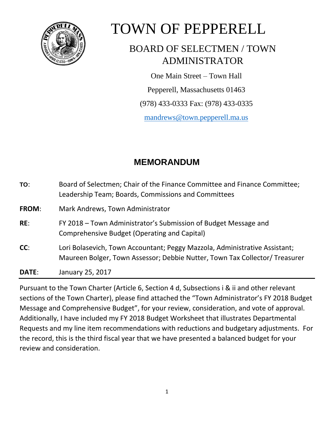

# TOWN OF PEPPERELL

# BOARD OF SELECTMEN / TOWN ADMINISTRATOR

One Main Street – Town Hall

Pepperell, Massachusetts 01463

(978) 433-0333 Fax: (978) 433-0335

[mandrews@town.pepperell.ma.us](mailto:mandrews@town.pepperell.ma.us)

# **MEMORANDUM**

| TO:   | Board of Selectmen; Chair of the Finance Committee and Finance Committee;<br>Leadership Team; Boards, Commissions and Committees                          |  |  |  |  |  |  |  |
|-------|-----------------------------------------------------------------------------------------------------------------------------------------------------------|--|--|--|--|--|--|--|
| FROM: | Mark Andrews, Town Administrator                                                                                                                          |  |  |  |  |  |  |  |
| RE:   | FY 2018 – Town Administrator's Submission of Budget Message and<br>Comprehensive Budget (Operating and Capital)                                           |  |  |  |  |  |  |  |
| CC:   | Lori Bolasevich, Town Accountant; Peggy Mazzola, Administrative Assistant;<br>Maureen Bolger, Town Assessor; Debbie Nutter, Town Tax Collector/ Treasurer |  |  |  |  |  |  |  |
| DATE: | January 25, 2017                                                                                                                                          |  |  |  |  |  |  |  |

Pursuant to the Town Charter (Article 6, Section 4 d, Subsections i & ii and other relevant sections of the Town Charter), please find attached the "Town Administrator's FY 2018 Budget Message and Comprehensive Budget", for your review, consideration, and vote of approval. Additionally, I have included my FY 2018 Budget Worksheet that illustrates Departmental Requests and my line item recommendations with reductions and budgetary adjustments. For the record, this is the third fiscal year that we have presented a balanced budget for your review and consideration.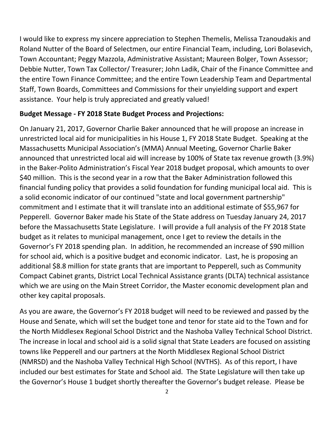I would like to express my sincere appreciation to Stephen Themelis, Melissa Tzanoudakis and Roland Nutter of the Board of Selectmen, our entire Financial Team, including, Lori Bolasevich, Town Accountant; Peggy Mazzola, Administrative Assistant; Maureen Bolger, Town Assessor; Debbie Nutter, Town Tax Collector/ Treasurer; John Ladik, Chair of the Finance Committee and the entire Town Finance Committee; and the entire Town Leadership Team and Departmental Staff, Town Boards, Committees and Commissions for their unyielding support and expert assistance. Your help is truly appreciated and greatly valued!

#### **Budget Message - FY 2018 State Budget Process and Projections:**

On January 21, 2017, Governor Charlie Baker announced that he will propose an increase in unrestricted local aid for municipalities in his House 1, FY 2018 State Budget. Speaking at the Massachusetts Municipal Association's (MMA) Annual Meeting, Governor Charlie Baker announced that unrestricted local aid will increase by 100% of State tax revenue growth (3.9%) in the Baker-Polito Administration's Fiscal Year 2018 budget proposal, which amounts to over \$40 million. This is the second year in a row that the Baker Administration followed this financial funding policy that provides a solid foundation for funding municipal local aid. This is a solid economic indicator of our continued "state and local government partnership" commitment and I estimate that it will translate into an additional estimate of \$55,967 for Pepperell. Governor Baker made his State of the State address on Tuesday January 24, 2017 before the Massachusetts State Legislature. I will provide a full analysis of the FY 2018 State budget as it relates to municipal management, once I get to review the details in the Governor's FY 2018 spending plan. In addition, he recommended an increase of \$90 million for school aid, which is a positive budget and economic indicator. Last, he is proposing an additional \$8.8 million for state grants that are important to Pepperell, such as Community Compact Cabinet grants, District Local Technical Assistance grants (DLTA) technical assistance which we are using on the Main Street Corridor, the Master economic development plan and other key capital proposals.

As you are aware, the Governor's FY 2018 budget will need to be reviewed and passed by the House and Senate, which will set the budget tone and tenor for state aid to the Town and for the North Middlesex Regional School District and the Nashoba Valley Technical School District. The increase in local and school aid is a solid signal that State Leaders are focused on assisting towns like Pepperell and our partners at the North Middlesex Regional School District (NMRSD) and the Nashoba Valley Technical High School (NVTHS). As of this report, I have included our best estimates for State and School aid. The State Legislature will then take up the Governor's House 1 budget shortly thereafter the Governor's budget release. Please be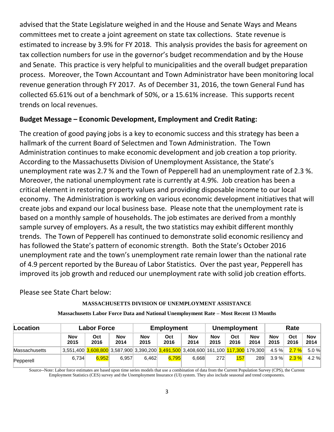advised that the State Legislature weighed in and the House and Senate Ways and Means committees met to create a joint agreement on state tax collections. State revenue is estimated to increase by 3.9% for FY 2018. This analysis provides the basis for agreement on tax collection numbers for use in the governor's budget recommendation and by the House and Senate. This practice is very helpful to municipalities and the overall budget preparation process. Moreover, the Town Accountant and Town Administrator have been monitoring local revenue generation through FY 2017. As of December 31, 2016, the town General Fund has collected 65.61% out of a benchmark of 50%, or a 15.61% increase. This supports recent trends on local revenues.

#### **Budget Message – Economic Development, Employment and Credit Rating:**

The creation of good paying jobs is a key to economic success and this strategy has been a hallmark of the current Board of Selectmen and Town Administration. The Town Administration continues to make economic development and job creation a top priority. According to the Massachusetts Division of Unemployment Assistance, the State's unemployment rate was 2.7 % and the Town of Pepperell had an unemployment rate of 2.3 %. Moreover, the national unemployment rate is currently at 4.9%. Job creation has been a critical element in restoring property values and providing disposable income to our local economy. The Administration is working on various economic development initiatives that will create jobs and expand our local business base. Please note that the unemployment rate is based on a monthly sample of households. The job estimates are derived from a monthly sample survey of employers. As a result, the two statistics may exhibit different monthly trends. The Town of Pepperell has continued to demonstrate solid economic resiliency and has followed the State's pattern of economic strength. Both the State's October 2016 unemployment rate and the town's unemployment rate remain lower than the national rate of 4.9 percent reported by the Bureau of Labor Statistics. Over the past year, Pepperell has improved its job growth and reduced our unemployment rate with solid job creation efforts.

Please see State Chart below:

#### **MASSACHUSETTS DIVISION OF UNEMPLOYMENT ASSISTANCE**

| Location             | <b>Labor Force</b> |             |                    | <b>Employment</b>  |             |                                                                                                                                                           | <b>Unemployment</b> |             |                    | Rate        |             |                    |
|----------------------|--------------------|-------------|--------------------|--------------------|-------------|-----------------------------------------------------------------------------------------------------------------------------------------------------------|---------------------|-------------|--------------------|-------------|-------------|--------------------|
|                      | Nov<br>2015        | Oct<br>2016 | <b>Nov</b><br>2014 | <b>Nov</b><br>2015 | Oct<br>2016 | Nov<br>2014                                                                                                                                               | <b>Nov</b><br>2015  | Oct<br>2016 | <b>Nov</b><br>2014 | Nov<br>2015 | Oct<br>2016 | <b>Nov</b><br>2014 |
| <b>Massachusetts</b> |                    |             |                    |                    |             | $\mid$ 3,551,400 $\mid$ 3,608,800 $\mid$ 3,587,900 $\mid$ 3,390,200 $\mid$ 3,491,500 $\mid$ 3,408,600 $\mid$ 161,100 $\mid$ 117,300 $\mid$ 179,300 $\mid$ |                     |             |                    | 4.5%        | $2.7 \%$    | 5.0%               |
| Pepperell            | 6.734              | 6.952       | 6.957              | 6.462              | 6.795       | 6.668                                                                                                                                                     | 272                 | 157         | 289                | $3.9 \%$    | $2.3 \%$    | 4.2%               |

#### **Massachusetts Labor Force Data and National Unemployment Rate – Most Recent 13 Months**

Source--Note: Labor force estimates are based upon time series models that use a combination of data from the Current Population Survey (CPS), the Current Employment Statistics (CES) survey and the Unemployment Insurance (UI) system. They also include seasonal and trend components.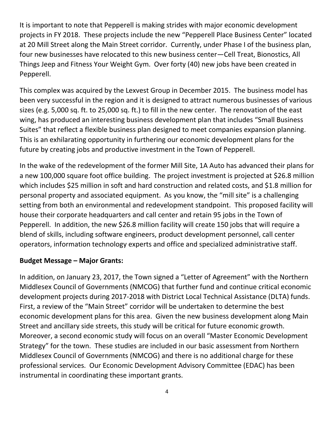It is important to note that Pepperell is making strides with major economic development projects in FY 2018. These projects include the new "Pepperell Place Business Center" located at 20 Mill Street along the Main Street corridor. Currently, under Phase I of the business plan, four new businesses have relocated to this new business center—Cell Treat, Bionostics, All Things Jeep and Fitness Your Weight Gym. Over forty (40) new jobs have been created in Pepperell.

This complex was acquired by the Lexvest Group in December 2015. The business model has been very successful in the region and it is designed to attract numerous businesses of various sizes (e.g. 5,000 sq. ft. to 25,000 sq. ft.) to fill in the new center. The renovation of the east wing, has produced an interesting business development plan that includes "Small Business Suites" that reflect a flexible business plan designed to meet companies expansion planning. This is an exhilarating opportunity in furthering our economic development plans for the future by creating jobs and productive investment in the Town of Pepperell.

In the wake of the redevelopment of the former Mill Site, 1A Auto has advanced their plans for a new 100,000 square foot office building. The project investment is projected at \$26.8 million which includes \$25 million in soft and hard construction and related costs, and \$1.8 million for personal property and associated equipment. As you know, the "mill site" is a challenging setting from both an environmental and redevelopment standpoint. This proposed facility will house their corporate headquarters and call center and retain 95 jobs in the Town of Pepperell. In addition, the new \$26.8 million facility will create 150 jobs that will require a blend of skills, including software engineers, product development personnel, call center operators, information technology experts and office and specialized administrative staff.

#### **Budget Message – Major Grants:**

In addition, on January 23, 2017, the Town signed a "Letter of Agreement" with the Northern Middlesex Council of Governments (NMCOG) that further fund and continue critical economic development projects during 2017-2018 with District Local Technical Assistance (DLTA) funds. First, a review of the "Main Street" corridor will be undertaken to determine the best economic development plans for this area. Given the new business development along Main Street and ancillary side streets, this study will be critical for future economic growth. Moreover, a second economic study will focus on an overall "Master Economic Development Strategy" for the town. These studies are included in our basic assessment from Northern Middlesex Council of Governments (NMCOG) and there is no additional charge for these professional services. Our Economic Development Advisory Committee (EDAC) has been instrumental in coordinating these important grants.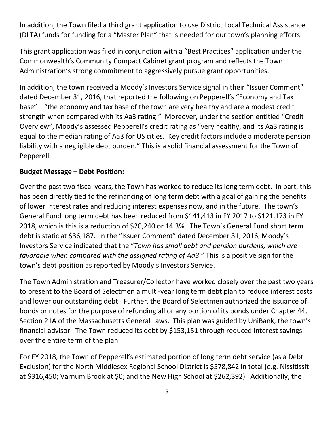In addition, the Town filed a third grant application to use District Local Technical Assistance (DLTA) funds for funding for a "Master Plan" that is needed for our town's planning efforts.

This grant application was filed in conjunction with a "Best Practices" application under the Commonwealth's Community Compact Cabinet grant program and reflects the Town Administration's strong commitment to aggressively pursue grant opportunities.

In addition, the town received a Moody's Investors Service signal in their "Issuer Comment" dated December 31, 2016, that reported the following on Pepperell's "Economy and Tax base"—"the economy and tax base of the town are very healthy and are a modest credit strength when compared with its Aa3 rating." Moreover, under the section entitled "Credit Overview", Moody's assessed Pepperell's credit rating as "very healthy, and its Aa3 rating is equal to the median rating of Aa3 for US cities. Key credit factors include a moderate pension liability with a negligible debt burden." This is a solid financial assessment for the Town of Pepperell.

#### **Budget Message – Debt Position:**

Over the past two fiscal years, the Town has worked to reduce its long term debt. In part, this has been directly tied to the refinancing of long term debt with a goal of gaining the benefits of lower interest rates and reducing interest expenses now, and in the future. The town's General Fund long term debt has been reduced from \$141,413 in FY 2017 to \$121,173 in FY 2018, which is this is a reduction of \$20,240 or 14.3%. The Town's General Fund short term debt is static at \$36,187. In the "Issuer Comment" dated December 31, 2016, Moody's Investors Service indicated that the "*Town has small debt and pension burdens, which are favorable when compared with the assigned rating of Aa3*." This is a positive sign for the town's debt position as reported by Moody's Investors Service.

The Town Administration and Treasurer/Collector have worked closely over the past two years to present to the Board of Selectmen a multi-year long term debt plan to reduce interest costs and lower our outstanding debt. Further, the Board of Selectmen authorized the issuance of bonds or notes for the purpose of refunding all or any portion of its bonds under Chapter 44, Section 21A of the Massachusetts General Laws. This plan was guided by UniBank, the town's financial advisor. The Town reduced its debt by \$153,151 through reduced interest savings over the entire term of the plan.

For FY 2018, the Town of Pepperell's estimated portion of long term debt service (as a Debt Exclusion) for the North Middlesex Regional School District is \$578,842 in total (e.g. Nissitissit at \$316,450; Varnum Brook at \$0; and the New High School at \$262,392). Additionally, the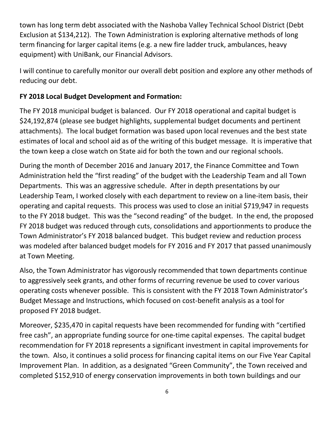town has long term debt associated with the Nashoba Valley Technical School District (Debt Exclusion at \$134,212). The Town Administration is exploring alternative methods of long term financing for larger capital items (e.g. a new fire ladder truck, ambulances, heavy equipment) with UniBank, our Financial Advisors.

I will continue to carefully monitor our overall debt position and explore any other methods of reducing our debt.

## **FY 2018 Local Budget Development and Formation:**

The FY 2018 municipal budget is balanced. Our FY 2018 operational and capital budget is \$24,192,874 (please see budget highlights, supplemental budget documents and pertinent attachments). The local budget formation was based upon local revenues and the best state estimates of local and school aid as of the writing of this budget message. It is imperative that the town keep a close watch on State aid for both the town and our regional schools.

During the month of December 2016 and January 2017, the Finance Committee and Town Administration held the "first reading" of the budget with the Leadership Team and all Town Departments. This was an aggressive schedule. After in depth presentations by our Leadership Team, I worked closely with each department to review on a line-item basis, their operating and capital requests. This process was used to close an initial \$719,947 in requests to the FY 2018 budget. This was the "second reading" of the budget. In the end, the proposed FY 2018 budget was reduced through cuts, consolidations and apportionments to produce the Town Administrator's FY 2018 balanced budget. This budget review and reduction process was modeled after balanced budget models for FY 2016 and FY 2017 that passed unanimously at Town Meeting.

Also, the Town Administrator has vigorously recommended that town departments continue to aggressively seek grants, and other forms of recurring revenue be used to cover various operating costs whenever possible. This is consistent with the FY 2018 Town Administrator's Budget Message and Instructions, which focused on cost-benefit analysis as a tool for proposed FY 2018 budget.

Moreover, \$235,470 in capital requests have been recommended for funding with "certified free cash", an appropriate funding source for one-time capital expenses. The capital budget recommendation for FY 2018 represents a significant investment in capital improvements for the town. Also, it continues a solid process for financing capital items on our Five Year Capital Improvement Plan. In addition, as a designated "Green Community", the Town received and completed \$152,910 of energy conservation improvements in both town buildings and our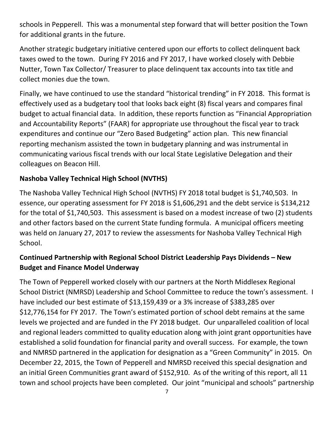schools in Pepperell. This was a monumental step forward that will better position the Town for additional grants in the future.

Another strategic budgetary initiative centered upon our efforts to collect delinquent back taxes owed to the town. During FY 2016 and FY 2017, I have worked closely with Debbie Nutter, Town Tax Collector/ Treasurer to place delinquent tax accounts into tax title and collect monies due the town.

Finally, we have continued to use the standard "historical trending" in FY 2018. This format is effectively used as a budgetary tool that looks back eight (8) fiscal years and compares final budget to actual financial data. In addition, these reports function as "Financial Appropriation and Accountability Reports" (FAAR) for appropriate use throughout the fiscal year to track expenditures and continue our "Zero Based Budgeting" action plan. This new financial reporting mechanism assisted the town in budgetary planning and was instrumental in communicating various fiscal trends with our local State Legislative Delegation and their colleagues on Beacon Hill.

# **Nashoba Valley Technical High School (NVTHS)**

The Nashoba Valley Technical High School (NVTHS) FY 2018 total budget is \$1,740,503. In essence, our operating assessment for FY 2018 is \$1,606,291 and the debt service is \$134,212 for the total of \$1,740,503. This assessment is based on a modest increase of two (2) students and other factors based on the current State funding formula. A municipal officers meeting was held on January 27, 2017 to review the assessments for Nashoba Valley Technical High School.

# **Continued Partnership with Regional School District Leadership Pays Dividends – New Budget and Finance Model Underway**

The Town of Pepperell worked closely with our partners at the North Middlesex Regional School District (NMRSD) Leadership and School Committee to reduce the town's assessment. I have included our best estimate of \$13,159,439 or a 3% increase of \$383,285 over \$12,776,154 for FY 2017. The Town's estimated portion of school debt remains at the same levels we projected and are funded in the FY 2018 budget. Our unparalleled coalition of local and regional leaders committed to quality education along with joint grant opportunities have established a solid foundation for financial parity and overall success. For example, the town and NMRSD partnered in the application for designation as a "Green Community" in 2015. On December 22, 2015, the Town of Pepperell and NMRSD received this special designation and an initial Green Communities grant award of \$152,910. As of the writing of this report, all 11 town and school projects have been completed. Our joint "municipal and schools" partnership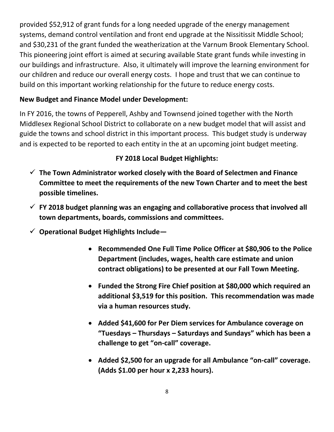provided \$52,912 of grant funds for a long needed upgrade of the energy management systems, demand control ventilation and front end upgrade at the Nissitissit Middle School; and \$30,231 of the grant funded the weatherization at the Varnum Brook Elementary School. This pioneering joint effort is aimed at securing available State grant funds while investing in our buildings and infrastructure. Also, it ultimately will improve the learning environment for our children and reduce our overall energy costs. I hope and trust that we can continue to build on this important working relationship for the future to reduce energy costs.

### **New Budget and Finance Model under Development:**

In FY 2016, the towns of Pepperell, Ashby and Townsend joined together with the North Middlesex Regional School District to collaborate on a new budget model that will assist and guide the towns and school district in this important process. This budget study is underway and is expected to be reported to each entity in the at an upcoming joint budget meeting.

# **FY 2018 Local Budget Highlights:**

- **The Town Administrator worked closely with the Board of Selectmen and Finance Committee to meet the requirements of the new Town Charter and to meet the best possible timelines.**
- **FY 2018 budget planning was an engaging and collaborative process that involved all town departments, boards, commissions and committees.**
- **Operational Budget Highlights Include—**
	- **Recommended One Full Time Police Officer at \$80,906 to the Police Department (includes, wages, health care estimate and union contract obligations) to be presented at our Fall Town Meeting.**
	- **Funded the Strong Fire Chief position at \$80,000 which required an additional \$3,519 for this position. This recommendation was made via a human resources study.**
	- **Added \$41,600 for Per Diem services for Ambulance coverage on "Tuesdays – Thursdays – Saturdays and Sundays" which has been a challenge to get "on-call" coverage.**
	- **Added \$2,500 for an upgrade for all Ambulance "on-call" coverage. (Adds \$1.00 per hour x 2,233 hours).**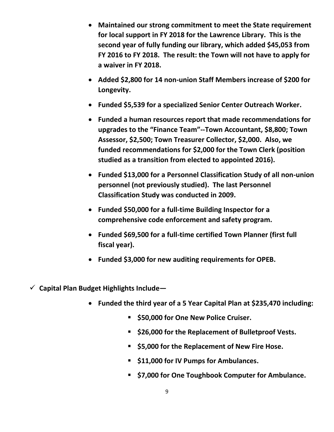- **Maintained our strong commitment to meet the State requirement for local support in FY 2018 for the Lawrence Library. This is the second year of fully funding our library, which added \$45,053 from FY 2016 to FY 2018. The result: the Town will not have to apply for a waiver in FY 2018.**
- **Added \$2,800 for 14 non-union Staff Members increase of \$200 for Longevity.**
- **Funded \$5,539 for a specialized Senior Center Outreach Worker.**
- **Funded a human resources report that made recommendations for upgrades to the "Finance Team"--Town Accountant, \$8,800; Town Assessor, \$2,500; Town Treasurer Collector, \$2,000. Also, we funded recommendations for \$2,000 for the Town Clerk (position studied as a transition from elected to appointed 2016).**
- **Funded \$13,000 for a Personnel Classification Study of all non-union personnel (not previously studied). The last Personnel Classification Study was conducted in 2009.**
- **Funded \$50,000 for a full-time Building Inspector for a comprehensive code enforcement and safety program.**
- **Funded \$69,500 for a full-time certified Town Planner (first full fiscal year).**
- **Funded \$3,000 for new auditing requirements for OPEB.**
- **Capital Plan Budget Highlights Include—**
	- **Funded the third year of a 5 Year Capital Plan at \$235,470 including:**
		- **550,000 for One New Police Cruiser.**
		- **\$26,000 for the Replacement of Bulletproof Vests.**
		- **\$5,000 for the Replacement of New Fire Hose.**
		- **\$11,000 for IV Pumps for Ambulances.**
		- **\$7,000 for One Toughbook Computer for Ambulance.**